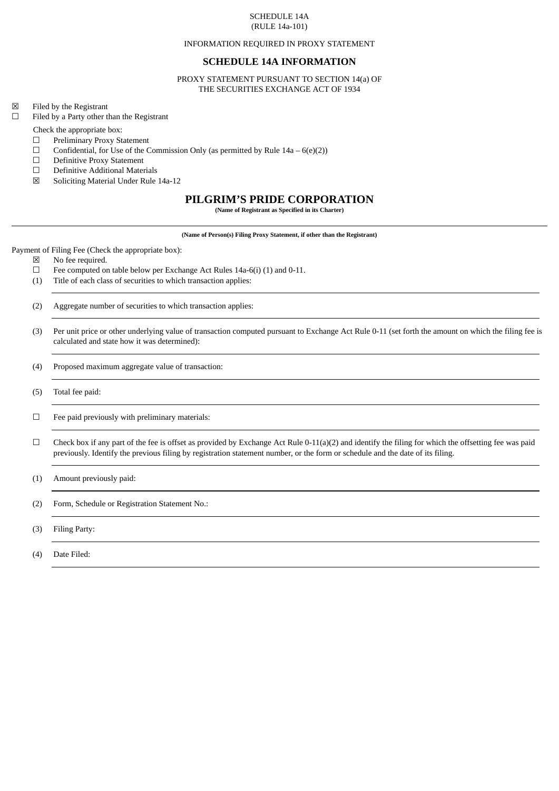### SCHEDULE 14A (RULE 14a-101)

#### INFORMATION REQUIRED IN PROXY STATEMENT

## **SCHEDULE 14A INFORMATION**

PROXY STATEMENT PURSUANT TO SECTION 14(a) OF THE SECURITIES EXCHANGE ACT OF 1934

☒ Filed by the Registrant

☐ Filed by a Party other than the Registrant

Check the appropriate box:

- ☐ Preliminary Proxy Statement
- $\Box$  Confidential, for Use of the Commission Only (as permitted by Rule 14a 6(e)(2))
- $\Box$  Definitive Proxy Statement<br> $\Box$  Definitive Additional Mater
- ☐ Definitive Additional Materials
- ☒ Soliciting Material Under Rule 14a-12

# **PILGRIM'S PRIDE CORPORATION**

**(Name of Registrant as Specified in its Charter)**

**(Name of Person(s) Filing Proxy Statement, if other than the Registrant)**

Payment of Filing Fee (Check the appropriate box):

☒ No fee required.

- ☐ Fee computed on table below per Exchange Act Rules 14a-6(i) (1) and 0-11.
- (1) Title of each class of securities to which transaction applies:

(2) Aggregate number of securities to which transaction applies:

(3) Per unit price or other underlying value of transaction computed pursuant to Exchange Act Rule 0-11 (set forth the amount on which the filing fee is calculated and state how it was determined):

(4) Proposed maximum aggregate value of transaction:

(5) Total fee paid:

☐ Fee paid previously with preliminary materials:

- $\Box$  Check box if any part of the fee is offset as provided by Exchange Act Rule 0-11(a)(2) and identify the filing for which the offsetting fee was paid previously. Identify the previous filing by registration statement number, or the form or schedule and the date of its filing.
- (1) Amount previously paid:

(2) Form, Schedule or Registration Statement No.:

(3) Filing Party:

(4) Date Filed: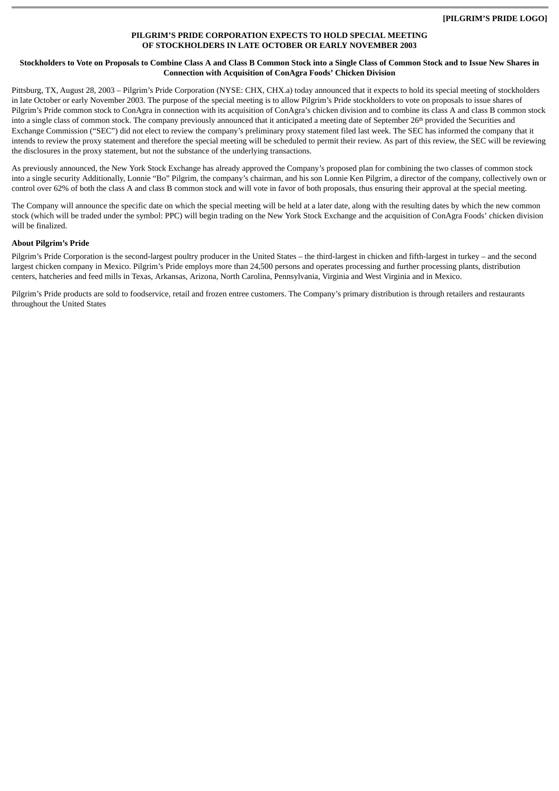## **PILGRIM'S PRIDE CORPORATION EXPECTS TO HOLD SPECIAL MEETING OF STOCKHOLDERS IN LATE OCTOBER OR EARLY NOVEMBER 2003**

### **Stockholders to Vote on Proposals to Combine Class A and Class B Common Stock into a Single Class of Common Stock and to Issue New Shares in Connection with Acquisition of ConAgra Foods' Chicken Division**

Pittsburg, TX, August 28, 2003 – Pilgrim's Pride Corporation (NYSE: CHX, CHX.a) today announced that it expects to hold its special meeting of stockholders in late October or early November 2003. The purpose of the special meeting is to allow Pilgrim's Pride stockholders to vote on proposals to issue shares of Pilgrim's Pride common stock to ConAgra in connection with its acquisition of ConAgra's chicken division and to combine its class A and class B common stock into a single class of common stock. The company previously announced that it anticipated a meeting date of September 26<sup>th</sup> provided the Securities and Exchange Commission ("SEC") did not elect to review the company's preliminary proxy statement filed last week. The SEC has informed the company that it intends to review the proxy statement and therefore the special meeting will be scheduled to permit their review. As part of this review, the SEC will be reviewing the disclosures in the proxy statement, but not the substance of the underlying transactions.

As previously announced, the New York Stock Exchange has already approved the Company's proposed plan for combining the two classes of common stock into a single security Additionally, Lonnie "Bo" Pilgrim, the company's chairman, and his son Lonnie Ken Pilgrim, a director of the company, collectively own or control over 62% of both the class A and class B common stock and will vote in favor of both proposals, thus ensuring their approval at the special meeting.

The Company will announce the specific date on which the special meeting will be held at a later date, along with the resulting dates by which the new common stock (which will be traded under the symbol: PPC) will begin trading on the New York Stock Exchange and the acquisition of ConAgra Foods' chicken division will be finalized.

## **About Pilgrim's Pride**

Pilgrim's Pride Corporation is the second-largest poultry producer in the United States – the third-largest in chicken and fifth-largest in turkey – and the second largest chicken company in Mexico. Pilgrim's Pride employs more than 24,500 persons and operates processing and further processing plants, distribution centers, hatcheries and feed mills in Texas, Arkansas, Arizona, North Carolina, Pennsylvania, Virginia and West Virginia and in Mexico.

Pilgrim's Pride products are sold to foodservice, retail and frozen entree customers. The Company's primary distribution is through retailers and restaurants throughout the United States